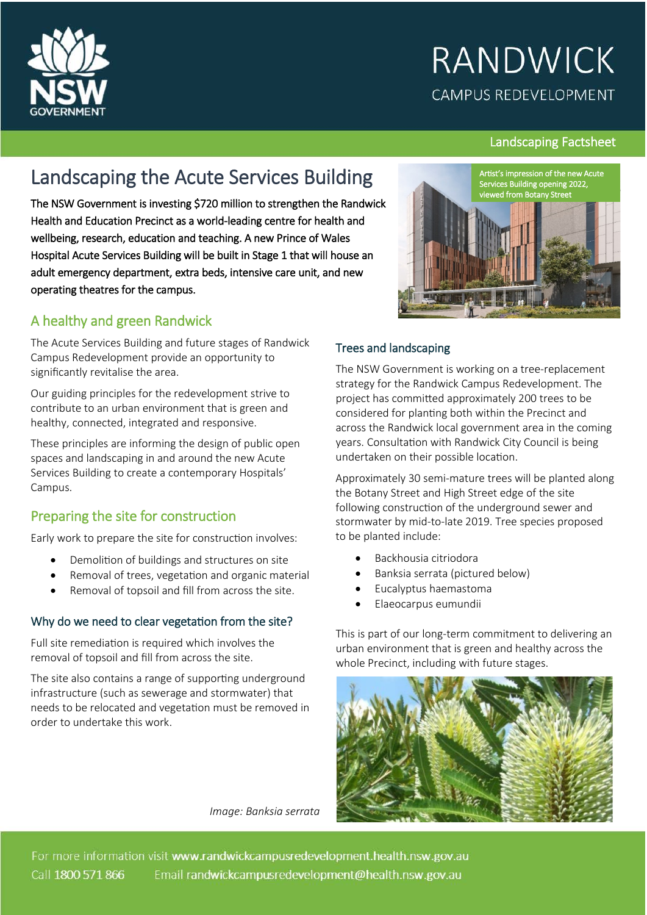

# **RANDWICK CAMPUS REDEVELOPMENT**

#### Landscaping Factsheet

# Landscaping the Acute Services Building

The NSW Government is investing \$720 million to strengthen the Randwick Health and Education Precinct as a world-leading centre for health and wellbeing, research, education and teaching. A new Prince of Wales Hospital Acute Services Building will be built in Stage 1 that will house an adult emergency department, extra beds, intensive care unit, and new operating theatres for the campus.

### A healthy and green Randwick

The Acute Services Building and future stages of Randwick Campus Redevelopment provide an opportunity to significantly revitalise the area.

Our guiding principles for the redevelopment strive to contribute to an urban environment that is green and healthy, connected, integrated and responsive.

These principles are informing the design of public open spaces and landscaping in and around the new Acute Services Building to create a contemporary Hospitals' Campus.

# Preparing the site for construction

Early work to prepare the site for construction involves:

- Demolition of buildings and structures on site
- Removal of trees, vegetation and organic material
- Removal of topsoil and fill from across the site.

#### Why do we need to clear vegetation from the site?

Full site remediation is required which involves the removal of topsoil and fill from across the site.

The site also contains a range of supporting underground infrastructure (such as sewerage and stormwater) that needs to be relocated and vegetation must be removed in order to undertake this work.



#### Trees and landscaping

The NSW Government is working on a tree-replacement strategy for the Randwick Campus Redevelopment. The project has commited approximately 200 trees to be considered for planting both within the Precinct and across the Randwick local government area in the coming years. Consultation with Randwick City Council is being undertaken on their possible location.

Approximately 30 semi-mature trees will be planted along the Botany Street and High Street edge of the site following construction of the underground sewer and stormwater by mid-to-late 2019. Tree species proposed to be planted include:

- Backhousia citriodora
- Banksia serrata (pictured below)
- Eucalyptus haemastoma
- Elaeocarpus eumundii

This is part of our long-term commitment to delivering an urban environment that is green and healthy across the whole Precinct, including with future stages.



*Image: Banksia serrata* 

For more information visit www.randwickcampusredevelopment.health.nsw.gov.au Call 1800 571 866 Email randwickcampusredevelopment@health.nsw.gov.au